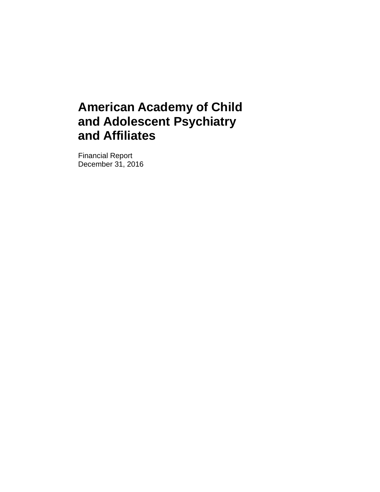Financial Report December 31, 2016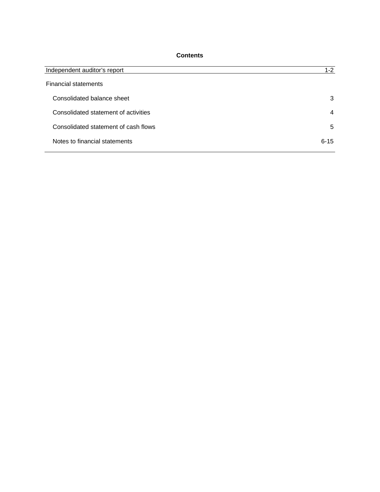## **Contents**

| Independent auditor's report         | $1-2$          |
|--------------------------------------|----------------|
| <b>Financial statements</b>          |                |
| Consolidated balance sheet           | 3              |
| Consolidated statement of activities | $\overline{4}$ |
| Consolidated statement of cash flows | 5              |
| Notes to financial statements        | $6 - 15$       |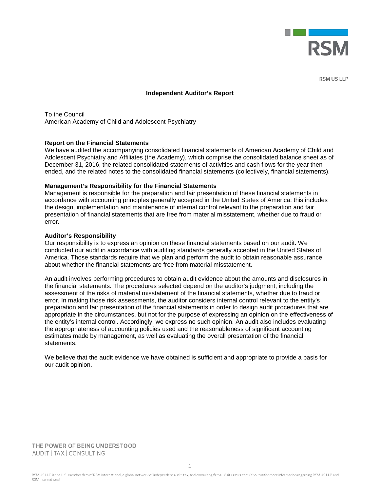

**RSM US LLP** 

#### **Independent Auditor's Report**

To the Council American Academy of Child and Adolescent Psychiatry

#### **Report on the Financial Statements**

We have audited the accompanying consolidated financial statements of American Academy of Child and Adolescent Psychiatry and Affiliates (the Academy), which comprise the consolidated balance sheet as of December 31, 2016, the related consolidated statements of activities and cash flows for the year then ended, and the related notes to the consolidated financial statements (collectively, financial statements).

#### **Management's Responsibility for the Financial Statements**

Management is responsible for the preparation and fair presentation of these financial statements in accordance with accounting principles generally accepted in the United States of America; this includes the design, implementation and maintenance of internal control relevant to the preparation and fair presentation of financial statements that are free from material misstatement, whether due to fraud or error.

#### **Auditor's Responsibility**

Our responsibility is to express an opinion on these financial statements based on our audit. We conducted our audit in accordance with auditing standards generally accepted in the United States of America. Those standards require that we plan and perform the audit to obtain reasonable assurance about whether the financial statements are free from material misstatement.

An audit involves performing procedures to obtain audit evidence about the amounts and disclosures in the financial statements. The procedures selected depend on the auditor's judgment, including the assessment of the risks of material misstatement of the financial statements, whether due to fraud or error. In making those risk assessments, the auditor considers internal control relevant to the entity's preparation and fair presentation of the financial statements in order to design audit procedures that are appropriate in the circumstances, but not for the purpose of expressing an opinion on the effectiveness of the entity's internal control. Accordingly, we express no such opinion. An audit also includes evaluating the appropriateness of accounting policies used and the reasonableness of significant accounting estimates made by management, as well as evaluating the overall presentation of the financial statements.

We believe that the audit evidence we have obtained is sufficient and appropriate to provide a basis for our audit opinion.

THE POWER OF BEING UNDERSTOOD AUDIT | TAX | CONSULTING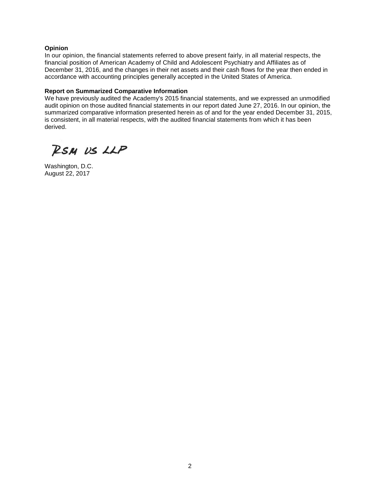#### **Opinion**

In our opinion, the financial statements referred to above present fairly, in all material respects, the financial position of American Academy of Child and Adolescent Psychiatry and Affiliates as of December 31, 2016, and the changes in their net assets and their cash flows for the year then ended in accordance with accounting principles generally accepted in the United States of America.

#### **Report on Summarized Comparative Information**

We have previously audited the Academy's 2015 financial statements, and we expressed an unmodified audit opinion on those audited financial statements in our report dated June 27, 2016. In our opinion, the summarized comparative information presented herein as of and for the year ended December 31, 2015, is consistent, in all material respects, with the audited financial statements from which it has been derived.

RSM US LLP

Washington, D.C. August 22, 2017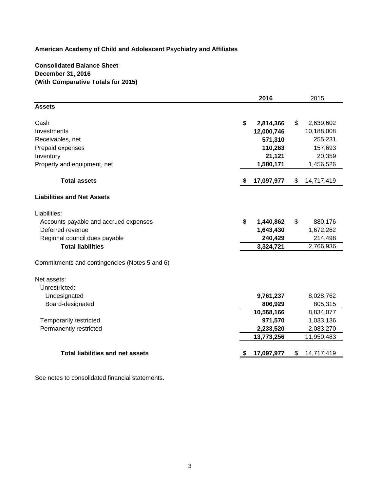## **Consolidated Balance Sheet December 31, 2016 (With Comparative Totals for 2015)**

|                                               |      | 2016       | 2015             |
|-----------------------------------------------|------|------------|------------------|
| <b>Assets</b>                                 |      |            |                  |
|                                               |      |            |                  |
| Cash                                          | \$   | 2,814,366  | \$<br>2,639,602  |
| Investments                                   |      | 12,000,746 | 10,188,008       |
| Receivables, net                              |      | 571,310    | 255,231          |
| Prepaid expenses                              |      | 110,263    | 157,693          |
| Inventory                                     |      | 21,121     | 20,359           |
| Property and equipment, net                   |      | 1,580,171  | 1,456,526        |
| <b>Total assets</b>                           | - \$ | 17,097,977 | \$<br>14,717,419 |
| <b>Liabilities and Net Assets</b>             |      |            |                  |
| Liabilities:                                  |      |            |                  |
| Accounts payable and accrued expenses         | \$   | 1,440,862  | \$<br>880,176    |
| Deferred revenue                              |      | 1,643,430  | 1,672,262        |
| Regional council dues payable                 |      | 240,429    | 214,498          |
| <b>Total liabilities</b>                      |      | 3,324,721  | 2,766,936        |
| Commitments and contingencies (Notes 5 and 6) |      |            |                  |
| Net assets:                                   |      |            |                  |
| Unrestricted:                                 |      |            |                  |
| Undesignated                                  |      | 9,761,237  | 8,028,762        |
| Board-designated                              |      | 806,929    | 805,315          |
|                                               |      | 10,568,166 | 8,834,077        |
| <b>Temporarily restricted</b>                 |      | 971,570    | 1,033,136        |
| Permanently restricted                        |      | 2,233,520  | 2,083,270        |
|                                               |      | 13,773,256 | 11,950,483       |
| <b>Total liabilities and net assets</b>       |      | 17,097,977 | \$<br>14,717,419 |

See notes to consolidated financial statements.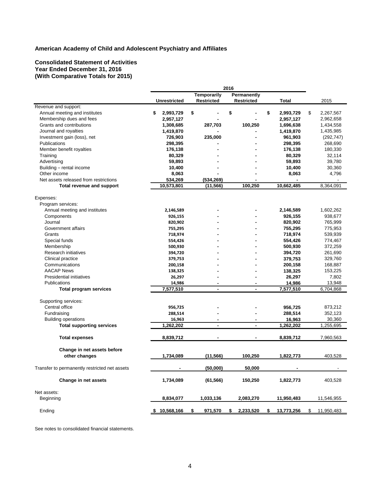#### **Consolidated Statement of Activities Year Ended December 31, 2016 (With Comparative Totals for 2015)**

|                                               | 2016                |                    |                   |                 |                          |
|-----------------------------------------------|---------------------|--------------------|-------------------|-----------------|--------------------------|
|                                               |                     | <b>Temporarily</b> | Permanently       |                 |                          |
|                                               | <b>Unrestricted</b> | <b>Restricted</b>  | <b>Restricted</b> | <b>Total</b>    | 2015                     |
| Revenue and support:                          |                     |                    |                   |                 |                          |
| Annual meeting and institutes                 | \$<br>2,993,729     | \$                 | \$                | \$<br>2,993,729 | \$<br>2,267,567          |
| Membership dues and fees                      | 2,957,127           |                    |                   | 2,957,127       | 2,962,658                |
| Grants and contributions                      | 1,308,685           | 287,703            | 100,250           | 1,696,638       | 1,434,558                |
| Journal and royalties                         | 1,419,870           |                    |                   | 1,419,870       | 1,435,985                |
| Investment gain (loss), net                   | 726,903             | 235,000            | $\blacksquare$    | 961,903         | (292, 747)               |
| Publications                                  | 298,395             |                    |                   | 298,395         | 268,690                  |
| Member benefit royalties                      | 176,138             |                    |                   | 176,138         | 180,330                  |
| Training                                      | 80,329              |                    |                   | 80,329          | 32,114                   |
| Advertising                                   | 59,893              |                    |                   | 59,893          | 39,780                   |
| Building - rental income                      | 10,400              |                    |                   | 10,400          | 30,360                   |
| Other income                                  | 8,063               |                    |                   | 8,063           | 4,796                    |
| Net assets released from restrictions         | 534,269             | (534, 269)         |                   |                 |                          |
| Total revenue and support                     | 10,573,801          | (11, 566)          | 100,250           | 10,662,485      | 8,364,091                |
|                                               |                     |                    |                   |                 |                          |
| Expenses:                                     |                     |                    |                   |                 |                          |
| Program services:                             |                     |                    |                   |                 |                          |
| Annual meeting and institutes                 | 2,146,589           |                    |                   | 2,146,589       | 1,602,262                |
| Components                                    | 926,155             |                    |                   | 926,155         | 938,677                  |
| Journal                                       | 820,902             |                    |                   | 820,902         | 765,999                  |
| Government affairs                            | 755,295             |                    |                   | 755,295         | 775,953                  |
| Grants                                        | 718,974             |                    |                   | 718,974         | 539,939                  |
| Special funds                                 | 554,426             |                    |                   | 554,426         | 774,467                  |
| Membership                                    | 500,930             |                    |                   | 500,930         | 372,259                  |
| Research initiatives                          | 394,720             |                    |                   | 394,720         | 261,690                  |
| Clinical practice                             | 379,753             |                    |                   | 379,753         | 329,760                  |
| Communications                                | 200,158             |                    |                   | 200,158         | 168,887                  |
| <b>AACAP News</b>                             | 138,325             |                    |                   | 138,325         | 153,225                  |
| <b>Presidential initiatives</b>               | 26,297              |                    |                   | 26,297          | 7,802                    |
| <b>Publications</b>                           | 14,986              |                    |                   | 14,986          | 13,948                   |
| <b>Total program services</b>                 | 7,577,510           | $\blacksquare$     | $\blacksquare$    | 7,577,510       | 6,704,868                |
| Supporting services:                          |                     |                    |                   |                 |                          |
| Central office                                | 956,725             |                    |                   | 956,725         | 873,212                  |
| Fundraising                                   | 288,514             |                    |                   | 288,514         | 352,123                  |
| <b>Building operations</b>                    | 16,963              | $\blacksquare$     | $\blacksquare$    | 16,963          | 30,360                   |
| <b>Total supporting services</b>              | 1,262,202           | $\blacksquare$     | $\blacksquare$    | 1,262,202       | 1,255,695                |
|                                               |                     |                    |                   |                 |                          |
| <b>Total expenses</b>                         | 8,839,712           |                    |                   | 8,839,712       | 7,960,563                |
| Change in net assets before                   |                     |                    |                   |                 |                          |
|                                               | 1,734,089           | (11, 566)          | 100,250           | 1,822,773       | 403,528                  |
| other changes                                 |                     |                    |                   |                 |                          |
| Transfer to permanently restricted net assets |                     | (50,000)           | 50,000            |                 | $\overline{\phantom{a}}$ |
| Change in net assets                          | 1,734,089           | (61, 566)          | 150,250           | 1,822,773       | 403,528                  |
| Net assets:                                   |                     |                    |                   |                 |                          |
|                                               |                     |                    |                   |                 | 11,546,955               |
| Beginning                                     | 8,834,077           | 1,033,136          | 2,083,270         | 11,950,483      |                          |
| Ending                                        | \$10,568,166        | 971,570<br>S.      | 2,233,520<br>s.   | 13,773,256      | 11,950,483<br>S.         |

See notes to consolidated financial statements.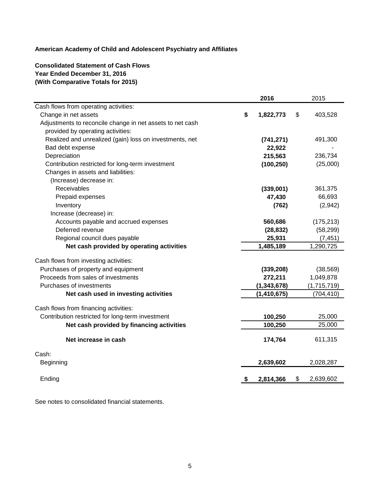# **Consolidated Statement of Cash Flows Year Ended December 31, 2016 (With Comparative Totals for 2015)**

|                                                           |           | 2016          | 2015            |
|-----------------------------------------------------------|-----------|---------------|-----------------|
| Cash flows from operating activities:                     |           |               |                 |
| Change in net assets                                      | S         | 1,822,773     | \$<br>403,528   |
| Adjustments to reconcile change in net assets to net cash |           |               |                 |
| provided by operating activities:                         |           |               |                 |
| Realized and unrealized (gain) loss on investments, net   |           | (741, 271)    | 491,300         |
| Bad debt expense                                          |           | 22,922        |                 |
| Depreciation                                              |           | 215,563       | 236,734         |
| Contribution restricted for long-term investment          |           | (100, 250)    | (25,000)        |
| Changes in assets and liabilities:                        |           |               |                 |
| (Increase) decrease in:                                   |           |               |                 |
| Receivables                                               |           | (339,001)     | 361,375         |
| Prepaid expenses                                          |           | 47,430        | 66,693          |
| Inventory                                                 |           | (762)         | (2,942)         |
| Increase (decrease) in:                                   |           |               |                 |
| Accounts payable and accrued expenses                     |           | 560,686       | (175, 213)      |
| Deferred revenue                                          |           | (28, 832)     | (58, 299)       |
| Regional council dues payable                             |           | 25,931        | (7, 451)        |
| Net cash provided by operating activities                 |           | 1,485,189     | 1,290,725       |
| Cash flows from investing activities:                     |           |               |                 |
| Purchases of property and equipment                       |           | (339, 208)    | (38, 569)       |
| Proceeds from sales of investments                        |           | 272,211       | 1,049,878       |
| Purchases of investments                                  |           | (1, 343, 678) | (1,715,719)     |
| Net cash used in investing activities                     |           | (1, 410, 675) | (704, 410)      |
| Cash flows from financing activities:                     |           |               |                 |
| Contribution restricted for long-term investment          |           | 100,250       | 25,000          |
| Net cash provided by financing activities                 |           | 100,250       | 25,000          |
|                                                           |           |               |                 |
| Net increase in cash                                      |           | 174,764       | 611,315         |
| Cash:                                                     |           |               |                 |
| Beginning                                                 |           | 2,639,602     | 2,028,287       |
|                                                           |           |               |                 |
| Ending                                                    | <u>\$</u> | 2,814,366     | \$<br>2,639,602 |

See notes to consolidated financial statements.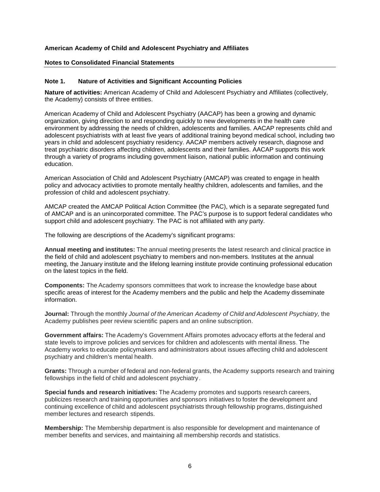#### **Notes to Consolidated Financial Statements**

## **Note 1. Nature of Activities and Significant Accounting Policies**

**Nature of activities:** American Academy of Child and Adolescent Psychiatry and Affiliates (collectively, the Academy) consists of three entities.

American Academy of Child and Adolescent Psychiatry (AACAP) has been a growing and dynamic organization, giving direction to and responding quickly to new developments in the health care environment by addressing the needs of children, adolescents and families. AACAP represents child and adolescent psychiatrists with at least five years of additional training beyond medical school, including two years in child and adolescent psychiatry residency. AACAP members actively research, diagnose and treat psychiatric disorders affecting children, adolescents and their families. AACAP supports this work through a variety of programs including government liaison, national public information and continuing education.

American Association of Child and Adolescent Psychiatry (AMCAP) was created to engage in health policy and advocacy activities to promote mentally healthy children, adolescents and families, and the profession of child and adolescent psychiatry.

AMCAP created the AMCAP Political Action Committee (the PAC), which is a separate segregated fund of AMCAP and is an unincorporated committee. The PAC's purpose is to support federal candidates who support child and adolescent psychiatry. The PAC is not affiliated with any party.

The following are descriptions of the Academy's significant programs:

**Annual meeting and institutes:** The annual meeting presents the latest research and clinical practice in the field of child and adolescent psychiatry to members and non-members. Institutes at the annual meeting, the January institute and the lifelong learning institute provide continuing professional education on the latest topics in the field.

**Components:** The Academy sponsors committees that work to increase the knowledge base about specific areas of interest for the Academy members and the public and help the Academy disseminate information.

**Journal:** Through the monthly *Journal of the American Academy of Child and Adolescent Psychiatry,* the Academy publishes peer review scientific papers and an online subscription.

**Government affairs:** The Academy's Government Affairs promotes advocacy efforts at the federal and state levels to improve policies and services for children and adolescents with mental illness. The Academy works to educate policymakers and administrators about issues affecting child and adolescent psychiatry and children's mental health.

**Grants:** Through a number of federal and non-federal grants, the Academy supports research and training fellowships in the field of child and adolescent psychiatry.

**Special funds and research initiatives:** The Academy promotes and supports research careers, publicizes research and training opportunities and sponsors initiatives to foster the development and continuing excellence of child and adolescent psychiatrists through fellowship programs, distinguished member lectures and research stipends.

**Membership:** The Membership department is also responsible for development and maintenance of member benefits and services, and maintaining all membership records and statistics.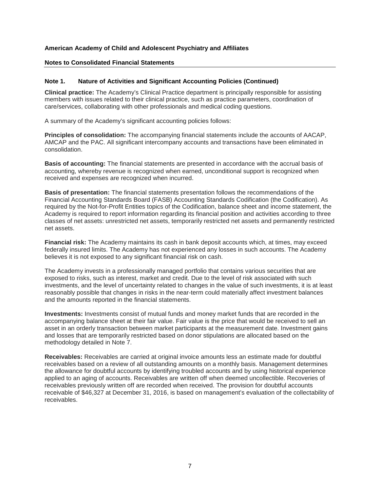#### **Notes to Consolidated Financial Statements**

#### **Note 1. Nature of Activities and Significant Accounting Policies (Continued)**

**Clinical practice:** The Academy's Clinical Practice department is principally responsible for assisting members with issues related to their clinical practice, such as practice parameters, coordination of care/services, collaborating with other professionals and medical coding questions.

A summary of the Academy's significant accounting policies follows:

**Principles of consolidation:** The accompanying financial statements include the accounts of AACAP, AMCAP and the PAC. All significant intercompany accounts and transactions have been eliminated in consolidation.

**Basis of accounting:** The financial statements are presented in accordance with the accrual basis of accounting, whereby revenue is recognized when earned, unconditional support is recognized when received and expenses are recognized when incurred.

**Basis of presentation:** The financial statements presentation follows the recommendations of the Financial Accounting Standards Board (FASB) Accounting Standards Codification (the Codification). As required by the Not-for-Profit Entities topics of the Codification, balance sheet and income statement, the Academy is required to report information regarding its financial position and activities according to three classes of net assets: unrestricted net assets, temporarily restricted net assets and permanently restricted net assets.

**Financial risk:** The Academy maintains its cash in bank deposit accounts which, at times, may exceed federally insured limits. The Academy has not experienced any losses in such accounts. The Academy believes it is not exposed to any significant financial risk on cash.

The Academy invests in a professionally managed portfolio that contains various securities that are exposed to risks, such as interest, market and credit. Due to the level of risk associated with such investments, and the level of uncertainty related to changes in the value of such investments, it is at least reasonably possible that changes in risks in the near-term could materially affect investment balances and the amounts reported in the financial statements.

**Investments:** Investments consist of mutual funds and money market funds that are recorded in the accompanying balance sheet at their fair value. Fair value is the price that would be received to sell an asset in an orderly transaction between market participants at the measurement date. Investment gains and losses that are temporarily restricted based on donor stipulations are allocated based on the methodology detailed in Note 7.

**Receivables:** Receivables are carried at original invoice amounts less an estimate made for doubtful receivables based on a review of all outstanding amounts on a monthly basis. Management determines the allowance for doubtful accounts by identifying troubled accounts and by using historical experience applied to an aging of accounts. Receivables are written off when deemed uncollectible. Recoveries of receivables previously written off are recorded when received. The provision for doubtful accounts receivable of \$46,327 at December 31, 2016, is based on management's evaluation of the collectability of receivables.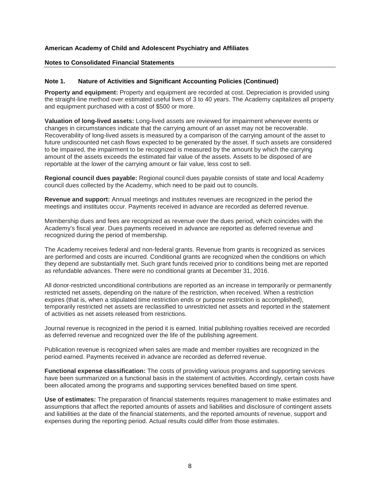#### **Notes to Consolidated Financial Statements**

#### **Note 1. Nature of Activities and Significant Accounting Policies (Continued)**

**Property and equipment:** Property and equipment are recorded at cost. Depreciation is provided using the straight-line method over estimated useful lives of 3 to 40 years. The Academy capitalizes all property and equipment purchased with a cost of \$500 or more.

**Valuation of long-lived assets:** Long-lived assets are reviewed for impairment whenever events or changes in circumstances indicate that the carrying amount of an asset may not be recoverable. Recoverability of long-lived assets is measured by a comparison of the carrying amount of the asset to future undiscounted net cash flows expected to be generated by the asset. If such assets are considered to be impaired, the impairment to be recognized is measured by the amount by which the carrying amount of the assets exceeds the estimated fair value of the assets. Assets to be disposed of are reportable at the lower of the carrying amount or fair value, less cost to sell.

**Regional council dues payable:** Regional council dues payable consists of state and local Academy council dues collected by the Academy, which need to be paid out to councils.

**Revenue and support:** Annual meetings and institutes revenues are recognized in the period the meetings and institutes occur. Payments received in advance are recorded as deferred revenue.

Membership dues and fees are recognized as revenue over the dues period, which coincides with the Academy's fiscal year. Dues payments received in advance are reported as deferred revenue and recognized during the period of membership.

The Academy receives federal and non-federal grants. Revenue from grants is recognized as services are performed and costs are incurred. Conditional grants are recognized when the conditions on which they depend are substantially met. Such grant funds received prior to conditions being met are reported as refundable advances. There were no conditional grants at December 31, 2016.

All donor-restricted unconditional contributions are reported as an increase in temporarily or permanently restricted net assets, depending on the nature of the restriction, when received. When a restriction expires (that is, when a stipulated time restriction ends or purpose restriction is accomplished), temporarily restricted net assets are reclassified to unrestricted net assets and reported in the statement of activities as net assets released from restrictions.

Journal revenue is recognized in the period it is earned. Initial publishing royalties received are recorded as deferred revenue and recognized over the life of the publishing agreement.

Publication revenue is recognized when sales are made and member royalties are recognized in the period earned. Payments received in advance are recorded as deferred revenue.

**Functional expense classification:** The costs of providing various programs and supporting services have been summarized on a functional basis in the statement of activities. Accordingly, certain costs have been allocated among the programs and supporting services benefited based on time spent.

**Use of estimates:** The preparation of financial statements requires management to make estimates and assumptions that affect the reported amounts of assets and liabilities and disclosure of contingent assets and liabilities at the date of the financial statements, and the reported amounts of revenue, support and expenses during the reporting period. Actual results could differ from those estimates.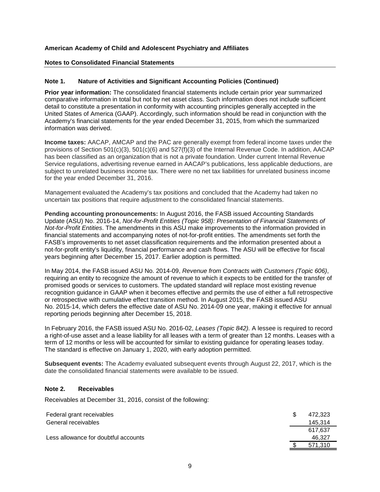## **Notes to Consolidated Financial Statements**

## **Note 1. Nature of Activities and Significant Accounting Policies (Continued)**

**Prior year information:** The consolidated financial statements include certain prior year summarized comparative information in total but not by net asset class. Such information does not include sufficient detail to constitute a presentation in conformity with accounting principles generally accepted in the United States of America (GAAP). Accordingly, such information should be read in conjunction with the Academy's financial statements for the year ended December 31, 2015, from which the summarized information was derived.

**Income taxes:** AACAP, AMCAP and the PAC are generally exempt from federal income taxes under the provisions of Section 501(c)(3), 501(c)(6) and 527(f)(3) of the Internal Revenue Code. In addition, AACAP has been classified as an organization that is not a private foundation. Under current Internal Revenue Service regulations, advertising revenue earned in AACAP's publications, less applicable deductions, are subject to unrelated business income tax. There were no net tax liabilities for unrelated business income for the year ended December 31, 2016.

Management evaluated the Academy's tax positions and concluded that the Academy had taken no uncertain tax positions that require adjustment to the consolidated financial statements.

**Pending accounting pronouncements:** In August 2016, the FASB issued Accounting Standards Update (ASU) No. 2016-14, *Not-for-Profit Entities (Topic 958): Presentation of Financial Statements of Not-for-Profit Entities*. The amendments in this ASU make improvements to the information provided in financial statements and accompanying notes of not-for-profit entities. The amendments set forth the FASB's improvements to net asset classification requirements and the information presented about a not-for-profit entity's liquidity, financial performance and cash flows. The ASU will be effective for fiscal years beginning after December 15, 2017. Earlier adoption is permitted.

In May 2014, the FASB issued ASU No. 2014-09, *Revenue from Contracts with Customers (Topic 606)*, requiring an entity to recognize the amount of revenue to which it expects to be entitled for the transfer of promised goods or services to customers. The updated standard will replace most existing revenue recognition guidance in GAAP when it becomes effective and permits the use of either a full retrospective or retrospective with cumulative effect transition method. In August 2015, the FASB issued ASU No. 2015-14, which defers the effective date of ASU No. 2014-09 one year, making it effective for annual reporting periods beginning after December 15, 2018.

In February 2016, the FASB issued ASU No. 2016-02, *Leases (Topic 842).* A lessee is required to record a right-of-use asset and a lease liability for all leases with a term of greater than 12 months. Leases with a term of 12 months or less will be accounted for similar to existing guidance for operating leases today. The standard is effective on January 1, 2020, with early adoption permitted.

**Subsequent events:** The Academy evaluated subsequent events through August 22, 2017, which is the date the consolidated financial statements were available to be issued.

## **Note 2. Receivables**

Receivables at December 31, 2016, consist of the following:

| Federal grant receivables            | 472,323 |
|--------------------------------------|---------|
| General receivables                  | 145.314 |
|                                      | 617,637 |
| Less allowance for doubtful accounts | 46.327  |
|                                      | 571,310 |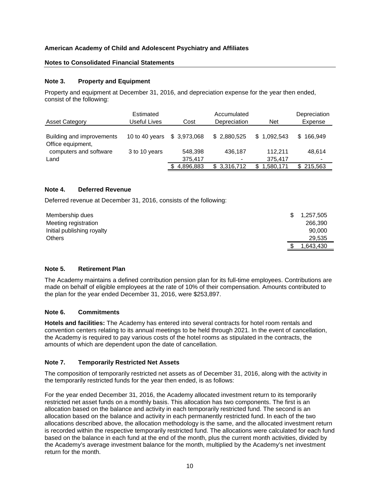## **Notes to Consolidated Financial Statements**

## **Note 3. Property and Equipment**

Property and equipment at December 31, 2016, and depreciation expense for the year then ended, consist of the following:

| <b>Asset Category</b>                          | Estimated<br>Useful Lives | Cost               | Accumulated<br>Depreciation | <b>Net</b>         | Depreciation<br>Expense |
|------------------------------------------------|---------------------------|--------------------|-----------------------------|--------------------|-------------------------|
| Building and improvements<br>Office equipment, | 10 to 40 years            | \$3,973,068        | \$2,880,525                 | \$1,092,543        | 166,949<br>S.           |
| computers and software<br>Land                 | 3 to 10 years             | 548.398<br>375,417 | 436.187                     | 112.211<br>375,417 | 48.614                  |
|                                                |                           | 4,896,883          | \$3,316,712                 | 1,580,171          | 215.563                 |

## **Note 4. Deferred Revenue**

Deferred revenue at December 31, 2016, consists of the following:

| Membership dues            | 1,257,505<br>S. |
|----------------------------|-----------------|
| Meeting registration       | 266,390         |
| Initial publishing royalty | 90,000          |
| <b>Others</b>              | 29,535          |
|                            | .643,430        |

## **Note 5. Retirement Plan**

The Academy maintains a defined contribution pension plan for its full-time employees. Contributions are made on behalf of eligible employees at the rate of 10% of their compensation. Amounts contributed to the plan for the year ended December 31, 2016, were \$253,897.

#### **Note 6. Commitments**

**Hotels and facilities:** The Academy has entered into several contracts for hotel room rentals and convention centers relating to its annual meetings to be held through 2021. In the event of cancellation, the Academy is required to pay various costs of the hotel rooms as stipulated in the contracts, the amounts of which are dependent upon the date of cancellation.

## **Note 7. Temporarily Restricted Net Assets**

The composition of temporarily restricted net assets as of December 31, 2016, along with the activity in the temporarily restricted funds for the year then ended, is as follows:

For the year ended December 31, 2016, the Academy allocated investment return to its temporarily restricted net asset funds on a monthly basis. This allocation has two components. The first is an allocation based on the balance and activity in each temporarily restricted fund. The second is an allocation based on the balance and activity in each permanently restricted fund. In each of the two allocations described above, the allocation methodology is the same, and the allocated investment return is recorded within the respective temporarily restricted fund. The allocations were calculated for each fund based on the balance in each fund at the end of the month, plus the current month activities, divided by the Academy's average investment balance for the month, multiplied by the Academy's net investment return for the month.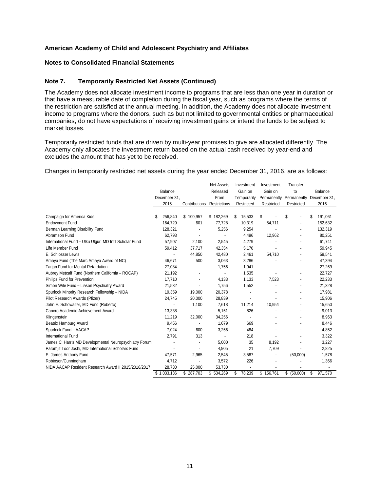## **Notes to Consolidated Financial Statements**

#### **Note 7. Temporarily Restricted Net Assets (Continued)**

The Academy does not allocate investment income to programs that are less than one year in duration or that have a measurable date of completion during the fiscal year, such as programs where the terms of the restriction are satisfied at the annual meeting. In addition, the Academy does not allocate investment income to programs where the donors, such as but not limited to governmental entities or pharmaceutical companies, do not have expectations of receiving investment gains or intend the funds to be subject to market losses.

Temporarily restricted funds that are driven by multi-year promises to give are allocated differently. The Academy only allocates the investment return based on the actual cash received by year-end and excludes the amount that has yet to be received.

Changes in temporarily restricted net assets during the year ended December 31, 2016, are as follows:

|                                                        |                |                            | <b>Net Assets</b> | Investment     | Investment               | Transfer       |               |
|--------------------------------------------------------|----------------|----------------------------|-------------------|----------------|--------------------------|----------------|---------------|
|                                                        | <b>Balance</b> |                            | Released          | Gain on        | Gain on                  | to             | Balance       |
|                                                        | December 31,   |                            | From              | Temporarily    | Permanently              | Permanently    | December 31,  |
|                                                        | 2015           | Contributions Restrictions |                   | Restricted     | Restricted               | Restricted     | 2016          |
|                                                        |                |                            |                   |                |                          |                |               |
| Campaign for America Kids                              | \$<br>256,840  | \$100,957                  | \$182,269         | 15,533<br>\$.  | \$                       | \$             | \$<br>191,061 |
| <b>Endowment Fund</b>                                  | 164,729        | 601                        | 77,728            | 10,319         | 54,711                   |                | 152,632       |
| Berman Learning Disability Fund                        | 128,321        |                            | 5,256             | 9,254          |                          |                | 132,319       |
| Abramson Fund                                          | 62,793         | $\overline{\phantom{a}}$   |                   | 4,496          | 12,962                   |                | 80,251        |
| International Fund - Ulku Ulgur, MD Int'l Scholar Fund | 57,907         | 2,100                      | 2,545             | 4,279          |                          |                | 61,741        |
| Life Member Fund                                       | 59,412         | 37,717                     | 42,354            | 5,170          |                          |                | 59,945        |
| E. Schlosser Lewis                                     |                | 44,850                     | 42,480            | 2,461          | 54,710                   |                | 59,541        |
| Amaya Fund (The Marc Amaya Award of NC)                | 46,671         | 500                        | 3,063             | 3,286          |                          |                | 47,394        |
| Tarjan Fund for Mental Retardation                     | 27,084         |                            | 1,756             | 1,941          |                          | $\overline{a}$ | 27,269        |
| Aubrey Metcalf Fund (Northern California - ROCAP)      | 21,192         |                            |                   | 1,535          |                          | $\overline{a}$ | 22,727        |
| Philips Fund for Prevention                            | 17,710         |                            | 4,133             | 1,133          | 7,523                    |                | 22,233        |
| Simon Wile Fund - Liason Psychiatry Award              | 21,532         |                            | 1,756             | 1,552          |                          |                | 21,328        |
| Spurlock Minority Research Fellowship - NIDA           | 19,359         | 19,000                     | 20,378            | $\overline{a}$ |                          |                | 17,981        |
| Pilot Research Awards (Pfizer)                         | 24,745         | 20,000                     | 28,839            |                |                          |                | 15,906        |
| John E. Schowalter, MD Fund (Roberto)                  |                | 1,100                      | 7,618             | 11,214         | 10,954                   |                | 15,650        |
| Cancro Academic Achievement Award                      | 13,338         |                            | 5,151             | 826            |                          |                | 9,013         |
| Klingenstein                                           | 11,219         | 32,000                     | 34,256            |                |                          |                | 8,963         |
| Beatrix Hamburg Award                                  | 9,456          |                            | 1,679             | 669            |                          |                | 8,446         |
| Spurlock Fund - AACAP                                  | 7,024          | 600                        | 3,256             | 484            |                          |                | 4,852         |
| International Fund                                     | 2,791          | 313                        |                   | 218            |                          |                | 3,322         |
| James C. Harris MD Developmental Neuropsychiatry Forum |                |                            | 5,000             | 35             | 8,192                    |                | 3,227         |
| Paramjit Toor Joshi, MD International Scholars Fund    |                |                            | 4,905             | 21             | 7,709                    |                | 2,825         |
| E. James Anthony Fund                                  | 47,571         | 2,965                      | 2,545             | 3,587          | $\overline{\phantom{a}}$ | (50,000)       | 1,578         |
| Robinson/Cunningham                                    | 4,712          |                            | 3,572             | 226            |                          |                | 1,366         |
| NIDA AACAP Resident Research Award II 2015/2016/2017   | 28,730         | 25,000                     | 53,730            |                |                          |                |               |
|                                                        | \$1,033,136    | \$287,703                  | \$534,269         | 78,239<br>\$.  | \$156,761                | \$ (50,000)    | \$<br>971,570 |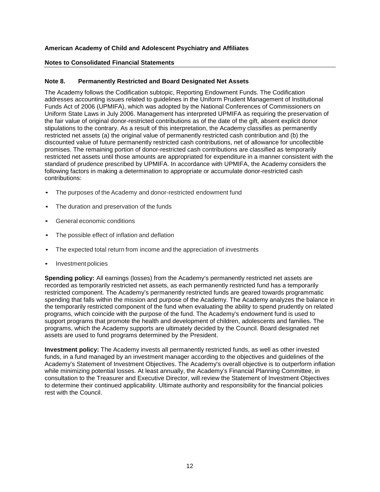## **Notes to Consolidated Financial Statements**

## **Note 8. Permanently Restricted and Board Designated Net Assets**

The Academy follows the Codification subtopic, Reporting Endowment Funds. The Codification addresses accounting issues related to guidelines in the Uniform Prudent Management of Institutional Funds Act of 2006 (UPMIFA), which was adopted by the National Conferences of Commissioners on Uniform State Laws in July 2006. Management has interpreted UPMIFA as requiring the preservation of the fair value of original donor-restricted contributions as of the date of the gift, absent explicit donor stipulations to the contrary. As a result of this interpretation, the Academy classifies as permanently restricted net assets (a) the original value of permanently restricted cash contribution and (b) the discounted value of future permanently restricted cash contributions, net of allowance for uncollectible promises. The remaining portion of donor-restricted cash contributions are classified as temporarily restricted net assets until those amounts are appropriated for expenditure in a manner consistent with the standard of prudence prescribed by UPMIFA. In accordance with UPMIFA, the Academy considers the following factors in making a determination to appropriate or accumulate donor-restricted cash contributions:

- The purposes of the Academy and donor-restricted endowment fund
- The duration and preservation of the funds
- General economic conditions
- The possible effect of inflation and deflation
- The expected total return from income and the appreciation of investments
- Investment policies

**Spending policy:** All earnings (losses) from the Academy's permanently restricted net assets are recorded as temporarily restricted net assets, as each permanently restricted fund has a temporarily restricted component. The Academy's permanently restricted funds are geared towards programmatic spending that falls within the mission and purpose of the Academy. The Academy analyzes the balance in the temporarily restricted component of the fund when evaluating the ability to spend prudently on related programs, which coincide with the purpose of the fund. The Academy's endowment fund is used to support programs that promote the health and development of children, adolescents and families. The programs, which the Academy supports are ultimately decided by the Council. Board designated net assets are used to fund programs determined by the President.

**Investment policy:** The Academy invests all permanently restricted funds, as well as other invested funds, in a fund managed by an investment manager according to the objectives and guidelines of the Academy's Statement of Investment Objectives. The Academy's overall objective is to outperform inflation while minimizing potential losses. At least annually, the Academy's Financial Planning Committee, in consultation to the Treasurer and Executive Director, will review the Statement of Investment Objectives to determine their continued applicability. Ultimate authority and responsibility for the financial policies rest with the Council.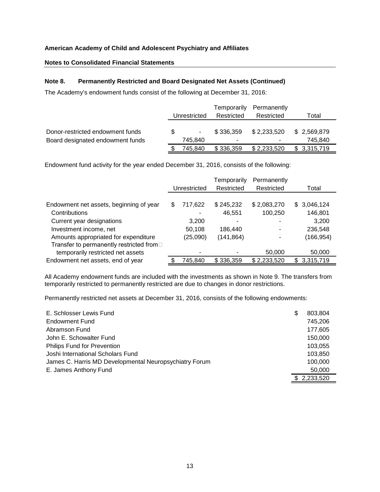## **Notes to Consolidated Financial Statements**

## **Note 8. Permanently Restricted and Board Designated Net Assets (Continued)**

The Academy's endowment funds consist of the following at December 31, 2016:

|                                  |              |         | Temporarily | Permanently |             |            |       |
|----------------------------------|--------------|---------|-------------|-------------|-------------|------------|-------|
|                                  | Unrestricted |         |             |             | Restricted  | Restricted | Total |
|                                  |              |         |             |             |             |            |       |
| Donor-restricted endowment funds | \$.          | ٠       | \$336,359   | \$2,233,520 | \$2,569,879 |            |       |
| Board designated endowment funds |              | 745.840 |             | -           | 745.840     |            |       |
|                                  |              | 745.840 | \$336,359   | \$2,233,520 | \$3,315,719 |            |       |

Endowment fund activity for the year ended December 31, 2016, consists of the following:

|                                          |              |          | Temporarily | Permanently |    |             |
|------------------------------------------|--------------|----------|-------------|-------------|----|-------------|
|                                          | Unrestricted |          | Restricted  | Restricted  |    | Total       |
|                                          |              |          |             |             |    |             |
| Endowment net assets, beginning of year  | \$           | 717,622  | \$245,232   | \$2,083,270 |    | \$3,046,124 |
| Contributions                            |              |          | 46,551      | 100,250     |    | 146,801     |
| Current year designations                |              | 3,200    |             |             |    | 3,200       |
| Investment income, net                   |              | 50,108   | 186.440     |             |    | 236,548     |
| Amounts appropriated for expenditure     |              | (25,090) | (141,864)   |             |    | (166, 954)  |
| Transfer to permanently restricted from□ |              |          |             |             |    |             |
| temporarily restricted net assets        |              |          |             | 50,000      |    | 50,000      |
| Endowment net assets, end of year        |              | 745,840  | \$336,359   | \$2,233,520 | S. | 3,315,719   |

All Academy endowment funds are included with the investments as shown in Note 9. The transfers from temporarily restricted to permanently restricted are due to changes in donor restrictions.

Permanently restricted net assets at December 31, 2016, consists of the following endowments:

| E. Schlosser Lewis Fund                                | S | 803,804   |
|--------------------------------------------------------|---|-----------|
| <b>Endowment Fund</b>                                  |   | 745,206   |
| Abramson Fund                                          |   | 177,605   |
| John E. Schowalter Fund                                |   | 150,000   |
| <b>Philips Fund for Prevention</b>                     |   | 103,055   |
| Joshi International Scholars Fund                      |   | 103.850   |
| James C. Harris MD Developmental Neuropsychiatry Forum |   | 100.000   |
| E. James Anthony Fund                                  |   | 50,000    |
|                                                        |   | 2.233.520 |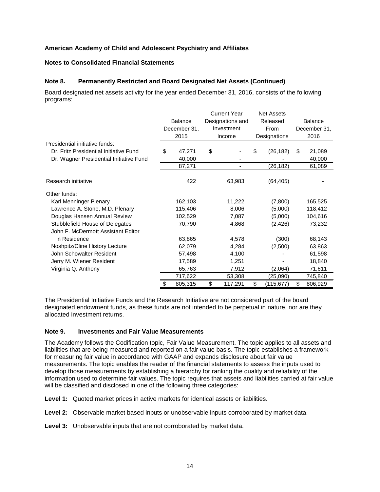#### **Notes to Consolidated Financial Statements**

#### **Note 8. Permanently Restricted and Board Designated Net Assets (Continued)**

Board designated net assets activity for the year ended December 31, 2016, consists of the following programs:

|                                         | <b>Current Year</b> |                |                  |                          |              | <b>Net Assets</b> |     |                |
|-----------------------------------------|---------------------|----------------|------------------|--------------------------|--------------|-------------------|-----|----------------|
|                                         |                     | <b>Balance</b> | Designations and |                          | Released     |                   |     | <b>Balance</b> |
|                                         |                     | December 31,   |                  | Investment               |              | From              |     | December 31,   |
|                                         |                     | 2015           |                  | Income                   | Designations |                   |     | 2016           |
| Presidential initiative funds:          |                     |                |                  |                          |              |                   |     |                |
| Dr. Fritz Presidential Initiative Fund  | \$                  | 47,271         | \$               |                          | \$           | (26, 182)         | \$. | 21,089         |
| Dr. Wagner Presidential Initiative Fund |                     | 40,000         |                  |                          |              |                   |     | 40,000         |
|                                         |                     | 87,271         |                  | $\overline{\phantom{a}}$ |              | (26,182)          |     | 61,089         |
| Research initiative                     |                     | 422            |                  | 63,983                   |              | (64, 405)         |     |                |
| Other funds:                            |                     |                |                  |                          |              |                   |     |                |
| Karl Menninger Plenary                  |                     | 162,103        |                  | 11,222                   |              | (7,800)           |     | 165,525        |
| Lawrence A. Stone, M.D. Plenary         |                     | 115,406        |                  | 8,006                    |              | (5,000)           |     | 118,412        |
| Douglas Hansen Annual Review            |                     | 102,529        |                  | 7,087                    |              | (5,000)           |     | 104,616        |
| Stubblefield House of Delegates         |                     | 70,790         |                  | 4,868                    |              | (2, 426)          |     | 73,232         |
| John F. McDermott Assistant Editor      |                     |                |                  |                          |              |                   |     |                |
| in Residence                            |                     | 63,865         |                  | 4,578                    |              | (300)             |     | 68,143         |
| Noshpitz/Cline History Lecture          |                     | 62,079         |                  | 4,284                    |              | (2,500)           |     | 63,863         |
| John Schowalter Resident                |                     | 57,498         |                  | 4,100                    |              |                   |     | 61,598         |
| Jerry M. Wiener Resident                |                     | 17,589         |                  | 1,251                    |              |                   |     | 18,840         |
| Virginia Q. Anthony                     |                     | 65,763         |                  | 7,912                    |              | (2,064)           |     | 71,611         |
|                                         |                     | 717,622        |                  | 53,308                   |              | (25,090)          |     | 745,840        |
|                                         |                     | 805,315        | \$               | 117,291                  | \$           | (115, 677)        | \$  | 806,929        |

The Presidential Initiative Funds and the Research Initiative are not considered part of the board designated endowment funds, as these funds are not intended to be perpetual in nature, nor are they allocated investment returns.

#### **Note 9. Investments and Fair Value Measurements**

The Academy follows the Codification topic, Fair Value Measurement. The topic applies to all assets and liabilities that are being measured and reported on a fair value basis. The topic establishes a framework for measuring fair value in accordance with GAAP and expands disclosure about fair value measurements. The topic enables the reader of the financial statements to assess the inputs used to develop those measurements by establishing a hierarchy for ranking the quality and reliability of the information used to determine fair values. The topic requires that assets and liabilities carried at fair value will be classified and disclosed in one of the following three categories:

**Level 1:** Quoted market prices in active markets for identical assets or liabilities.

**Level 2:** Observable market based inputs or unobservable inputs corroborated by market data.

**Level 3:** Unobservable inputs that are not corroborated by market data.